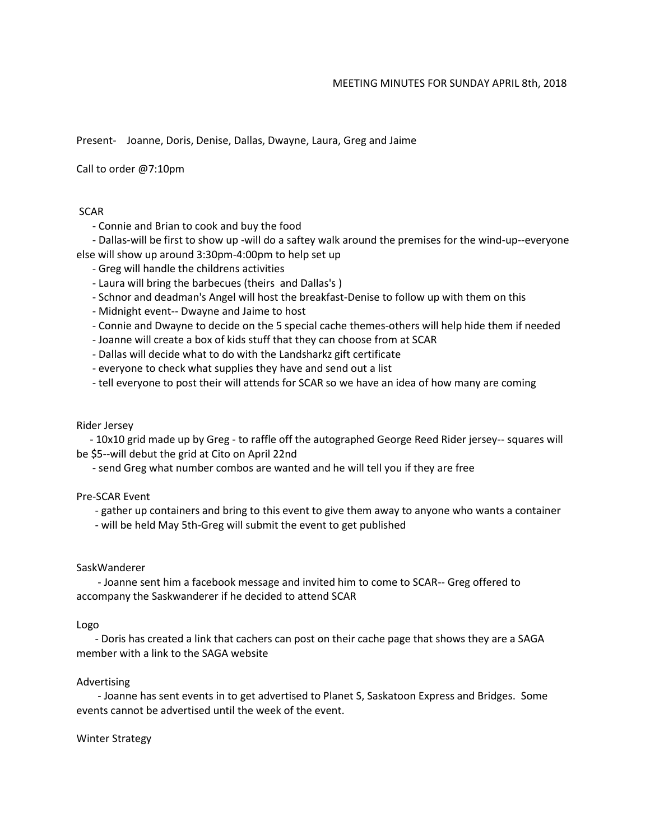#### MEETING MINUTES FOR SUNDAY APRIL 8th, 2018

Present- Joanne, Doris, Denise, Dallas, Dwayne, Laura, Greg and Jaime

Call to order @7:10pm

### **SCAR**

- Connie and Brian to cook and buy the food

 - Dallas-will be first to show up -will do a saftey walk around the premises for the wind-up--everyone else will show up around 3:30pm-4:00pm to help set up

- Greg will handle the childrens activities
- Laura will bring the barbecues (theirs and Dallas's )
- Schnor and deadman's Angel will host the breakfast-Denise to follow up with them on this
- Midnight event-- Dwayne and Jaime to host
- Connie and Dwayne to decide on the 5 special cache themes-others will help hide them if needed
- Joanne will create a box of kids stuff that they can choose from at SCAR
- Dallas will decide what to do with the Landsharkz gift certificate
- everyone to check what supplies they have and send out a list
- tell everyone to post their will attends for SCAR so we have an idea of how many are coming

# Rider Jersey

 - 10x10 grid made up by Greg - to raffle off the autographed George Reed Rider jersey-- squares will be \$5--will debut the grid at Cito on April 22nd

- send Greg what number combos are wanted and he will tell you if they are free

# Pre-SCAR Event

- gather up containers and bring to this event to give them away to anyone who wants a container

- will be held May 5th-Greg will submit the event to get published

# SaskWanderer

 - Joanne sent him a facebook message and invited him to come to SCAR-- Greg offered to accompany the Saskwanderer if he decided to attend SCAR

#### Logo

 - Doris has created a link that cachers can post on their cache page that shows they are a SAGA member with a link to the SAGA website

# Advertising

 - Joanne has sent events in to get advertised to Planet S, Saskatoon Express and Bridges. Some events cannot be advertised until the week of the event.

# Winter Strategy